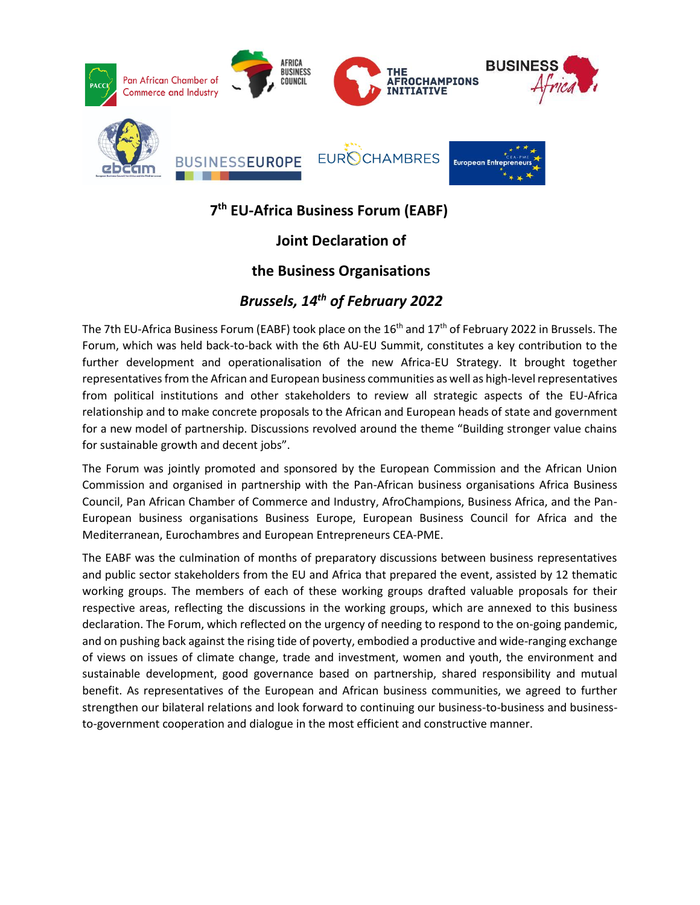

#### **7 th EU-Africa Business Forum (EABF)**

# **Joint Declaration of**

## **the Business Organisations**

## *Brussels, 14th of February 2022*

The 7th EU-Africa Business Forum (EABF) took place on the 16<sup>th</sup> and 17<sup>th</sup> of February 2022 in Brussels. The Forum, which was held back-to-back with the 6th AU-EU Summit, constitutes a key contribution to the further development and operationalisation of the new Africa-EU Strategy. It brought together representatives from the African and European business communities as well as high-level representatives from political institutions and other stakeholders to review all strategic aspects of the EU-Africa relationship and to make concrete proposals to the African and European heads of state and government for a new model of partnership. Discussions revolved around the theme "Building stronger value chains for sustainable growth and decent jobs".

The Forum was jointly promoted and sponsored by the European Commission and the African Union Commission and organised in partnership with the Pan-African business organisations Africa Business Council, Pan African Chamber of Commerce and Industry, AfroChampions, Business Africa, and the Pan-European business organisations Business Europe, European Business Council for Africa and the Mediterranean, Eurochambres and European Entrepreneurs CEA-PME.

The EABF was the culmination of months of preparatory discussions between business representatives and public sector stakeholders from the EU and Africa that prepared the event, assisted by 12 thematic working groups. The members of each of these working groups drafted valuable proposals for their respective areas, reflecting the discussions in the working groups, which are annexed to this business declaration. The Forum, which reflected on the urgency of needing to respond to the on-going pandemic, and on pushing back against the rising tide of poverty, embodied a productive and wide-ranging exchange of views on issues of climate change, trade and investment, women and youth, the environment and sustainable development, good governance based on partnership, shared responsibility and mutual benefit. As representatives of the European and African business communities, we agreed to further strengthen our bilateral relations and look forward to continuing our business-to-business and businessto-government cooperation and dialogue in the most efficient and constructive manner.